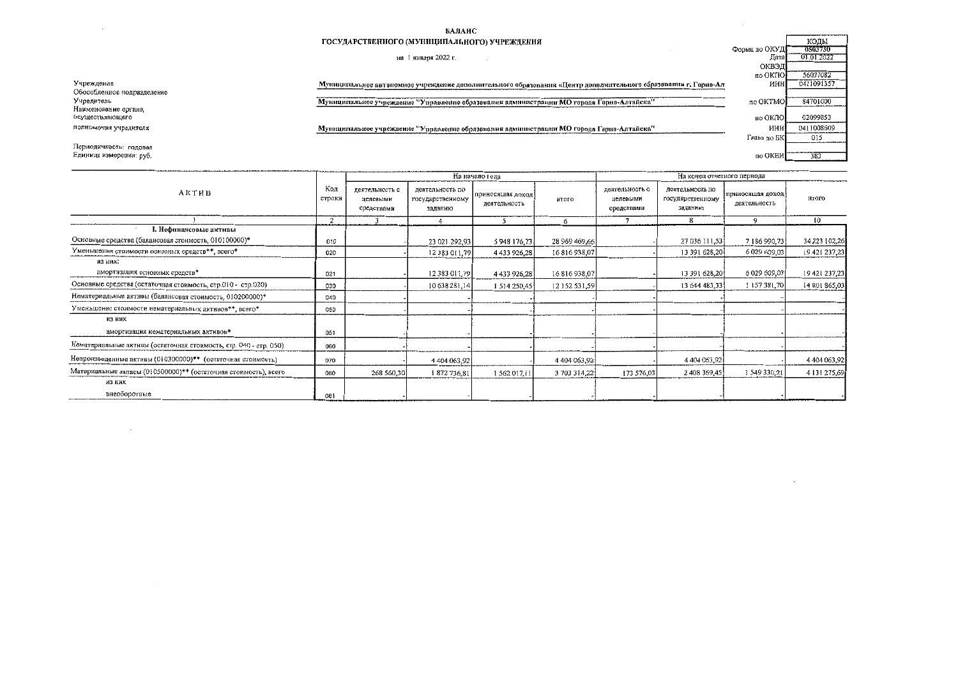## БАЛАНС

## ГОСУДАРСТВЕННОГО (МУНИЦИПАЛЬНОГО) УЧРЕЖДЕНИЯ

## на 1 января 2022 г.

| ГОСУДАРСТВЕННОГО (МУНИЦИПАЛЬНОГО) УЧРЕЖДЕНИЯ                                                                   |               | коды       |
|----------------------------------------------------------------------------------------------------------------|---------------|------------|
|                                                                                                                | Форма по ОКУД | 0503730    |
| января 2022 г.<br>на                                                                                           | Дата          | 01.01.2022 |
|                                                                                                                | ОКВЭД         |            |
|                                                                                                                | no OKHO       | 56037082   |
| Муниципальное автономное учреждение дополнительного образования «Центр дополнительного образования г. Горно-Ал | инн           | 0411091357 |
|                                                                                                                |               |            |
| Муниципальное учреждение "Управление образования администрации МО города Горно-Алтайска"                       | no OKTMO      | 84701000   |
|                                                                                                                |               |            |
|                                                                                                                | по ОКПО       | 02099853   |
| Муниципальное учреждение "Управление образования администрации МО города Горно-Алтайска"                       | инн           | 0411008609 |
|                                                                                                                | Глава по БК   | 015        |
|                                                                                                                |               |            |
|                                                                                                                | по ОКЕИ       | 383        |
|                                                                                                                |               |            |

 $\Gamma$ 

Учреждение Обособленное подразделение Учредитель Наименование органа,<br>осуществляющего полномочия учредителя

 $\sim$   $\sim$ 

Периодичность: годовая Единица измерения: руб.

 $\sim$ 

|                                                                   |     |                                          |                                                | На начало года                    |               | На конец отчетного перяода               |                                                |                                  |                     |
|-------------------------------------------------------------------|-----|------------------------------------------|------------------------------------------------|-----------------------------------|---------------|------------------------------------------|------------------------------------------------|----------------------------------|---------------------|
| АКТИВ                                                             |     | деятельность с<br>целевымн<br>средствами | деятельность по<br>государственному<br>заданию | приносящая доход-<br>деятельность | итого         | деятельность с<br>целевыми<br>средствами | деятельность по<br>государственному<br>заданию | приносящая доход<br>деятельность | итого               |
|                                                                   | 2   |                                          |                                                | 5                                 | 6             |                                          | 8                                              | 9                                | 10                  |
| І. Нефинансовые активы                                            |     |                                          |                                                |                                   |               |                                          |                                                |                                  |                     |
| Основные средства (балансовая стоимость, 010100000)*              | 010 |                                          | 23 021 292,93                                  | 5 948 176,73                      | 28 969 469,66 |                                          | 27 036 111,53                                  | 7 186 990 73                     | 34 223 102,26       |
| Уменьшение стоимости основных средств**, всего*                   | 020 |                                          | 12 383 011,79                                  | 4433926.28                        | 16816938.07   |                                          | 13 391 628,201                                 | 6 029 609,03                     | 19 421 237,23       |
| ИЗ НИХ:<br>амортизация основных средств*                          | 021 |                                          | 12 383 011,79                                  | 4433926.28                        | 16 816 938,07 |                                          | 13 391 628,20                                  | 6 029 609,03                     | 19 421 237,23       |
| Основные средства (остаточная стоимость, стр.010 - стр.020)       | 030 |                                          | 10 638 281,14                                  | 1 514 250,45                      | 12 152 531 59 |                                          | 13 644 483,33                                  | 1157381,70                       | 14 801 865,03       |
| Нематериальные актнии (балансовая стоимость, 010200000)*          | 040 |                                          |                                                |                                   |               |                                          |                                                |                                  |                     |
| Уменьшение стоимости нематериальных активов**, всего*             | 050 |                                          |                                                |                                   |               |                                          |                                                |                                  |                     |
| из них<br>амортизация нематериальных активов*                     | 051 |                                          |                                                |                                   |               |                                          |                                                |                                  |                     |
| Нематериальные активы (остаточная стоимость, стр. 040 - стр. 050) | 060 |                                          |                                                |                                   |               |                                          |                                                |                                  |                     |
| Непроизведенные активы (010300000)** (остаточная стоимость)       | 070 |                                          | 4 404 063,92                                   |                                   | 4 404 063,92  |                                          | 4 404 063 92                                   |                                  | 4 4 0 4 0 6 3 , 9 2 |
| Материальные запасы (010500000)** (остаточная стоимость), всего   | 080 | 268 560 30                               | 1872736.81                                     | 1 5 6 2 0 1 7 , 1 1               | 3 703 314,22  | 173 576 03                               | 2 408 369 45                                   | 1 549 330,21                     | 4 131 275,69        |
| из них                                                            |     |                                          |                                                |                                   |               |                                          |                                                |                                  |                     |
| внеоборотные                                                      | 081 |                                          |                                                |                                   |               |                                          |                                                |                                  |                     |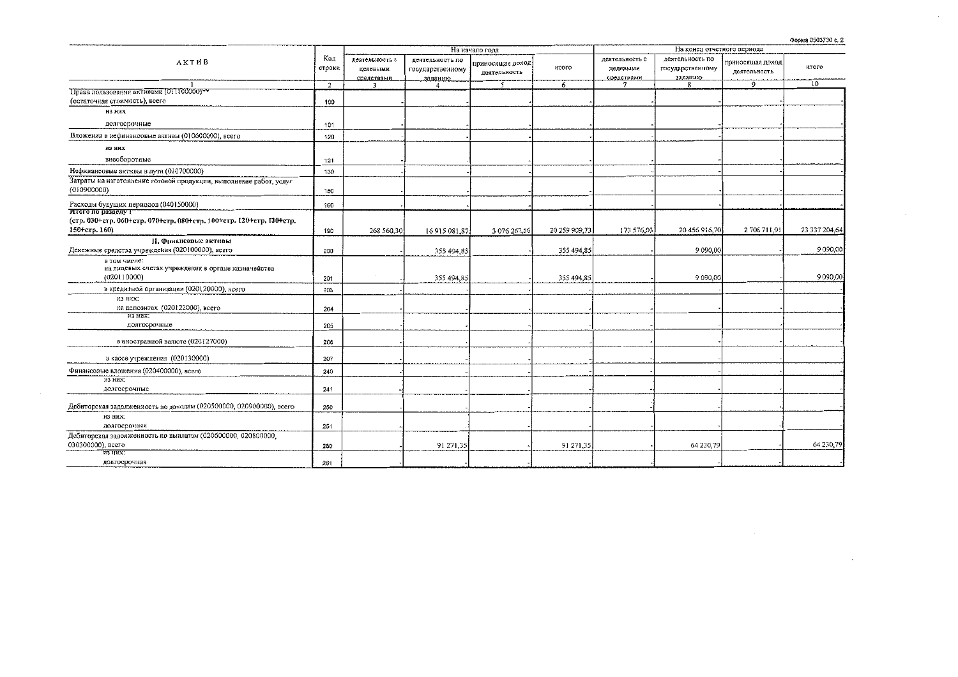Форма 0503730 с. 2

 $\sim$ 

|                                                                                            |        |                |                  | На начало года   |               |                |                  |                   |               |
|--------------------------------------------------------------------------------------------|--------|----------------|------------------|------------------|---------------|----------------|------------------|-------------------|---------------|
| АКТИВ                                                                                      |        | деятельность с | деятельность по  | приносящая доход |               | деятельность с | деятельность по  | гриносяццая доход |               |
|                                                                                            | строки | целевыми       | государственному | деятельность     | <b>HTOFO</b>  | целевыми       | государственному | деятельность      | итого         |
|                                                                                            |        | средствами     | заданию          |                  |               | средствами     | заданию          |                   |               |
|                                                                                            | 2      | 3              | 4                | $\overline{5}$   | 6             | $\overline{7}$ | 8                | 9                 | 10            |
| Права пользования активами (011100000)**                                                   |        |                |                  |                  |               |                |                  |                   |               |
| (остаточная стоимость), всего                                                              | 100    |                |                  |                  |               |                |                  |                   |               |
| из них                                                                                     |        |                |                  |                  |               |                |                  |                   |               |
| долгосрочные                                                                               | 101    |                |                  |                  |               |                |                  |                   |               |
| Вложения в нефинансовые активы (010600000), всего                                          | 120    |                |                  |                  |               |                |                  |                   |               |
| из них                                                                                     |        |                |                  |                  |               |                |                  |                   |               |
| внеоборотные                                                                               | 121    |                |                  |                  |               |                |                  |                   |               |
| Нефинансовые активы в лути (010700000)                                                     | 130    |                |                  |                  |               |                |                  |                   |               |
| Затраты на изготовление готовой продукции, выполнение работ, услуг                         |        |                |                  |                  |               |                |                  |                   |               |
| (010900000)                                                                                | 150    |                |                  |                  |               |                |                  |                   |               |
| Расходы будущих периодов (040150000)                                                       | 160    |                |                  |                  |               |                |                  |                   |               |
| Итого по разделу 1<br>(стр. 030+стр. 060+стр. 070+стр. 080+стр. 100+стр. 120+стр. 130+стр. |        |                |                  |                  |               |                |                  |                   |               |
| 150-етр. 160)                                                                              | 190    | 268 560,30     | 16915081,87      | 3 076 267,56     | 20 259 909,73 | 173 576,03     | 20 456 916,70    | 2 706 711,91      | 23 337 204,64 |
|                                                                                            |        |                |                  |                  |               |                |                  |                   |               |
| <b>II.</b> Финаневвые активы                                                               |        |                |                  |                  |               |                | 9 090,00         |                   | 9090,00       |
| Денежные средства учреждения (020100000), всего                                            | 200    |                | 355 494,85       |                  | 355 494,85    |                |                  |                   |               |
| в том числе:<br>на лицевых счетах учреждения в органе казначейства                         |        |                |                  |                  |               |                |                  |                   |               |
| (020110000)                                                                                |        |                | 355 494,85       |                  | 355 494,85    |                | 9 090,00         |                   | 9090,00       |
|                                                                                            | 201    |                |                  |                  |               |                |                  |                   |               |
| в кредитной организации (020120000), всего                                                 | 203    |                |                  |                  |               |                |                  |                   |               |
| <b>ИЗ НИХ:</b>                                                                             |        |                |                  |                  |               |                |                  |                   |               |
| на депозитах (020122000), всего                                                            | 204    |                |                  |                  |               |                |                  |                   |               |
| из них:<br>долгосрочные                                                                    |        |                |                  |                  |               |                |                  |                   |               |
|                                                                                            | 205    |                |                  |                  |               |                |                  |                   |               |
| в иностранной валюте (020127000)                                                           | 206    |                |                  |                  |               |                |                  |                   |               |
| в кассе учреждения (020130000)                                                             | 207    |                |                  |                  |               |                |                  |                   |               |
| Финансовые вложения (020400000), всего                                                     | 240    |                |                  |                  |               |                |                  |                   |               |
| из них:                                                                                    |        |                |                  |                  |               |                |                  |                   |               |
| долгосрочные                                                                               | 241    |                |                  |                  |               |                |                  |                   |               |
| Дебиторская задолженность по доходам (020500000, 020900000), всего                         | 250    |                |                  |                  |               |                |                  |                   |               |
| ИЗ НИХ.                                                                                    |        |                |                  |                  |               |                |                  |                   |               |
| долгосрочная                                                                               | 251    |                |                  |                  |               |                |                  |                   |               |
| Дебиторская задолженность по выплатам (020600000, 020800000,                               |        |                |                  |                  |               |                |                  |                   |               |
| 030300000), всего                                                                          | 260    |                | 91 271,35        |                  | 91 271,35     |                | 64 230,79        |                   | 64 230,79     |
| из них:                                                                                    |        |                |                  |                  |               |                |                  |                   |               |
| долгосрочная                                                                               | 261    |                |                  |                  |               |                |                  |                   |               |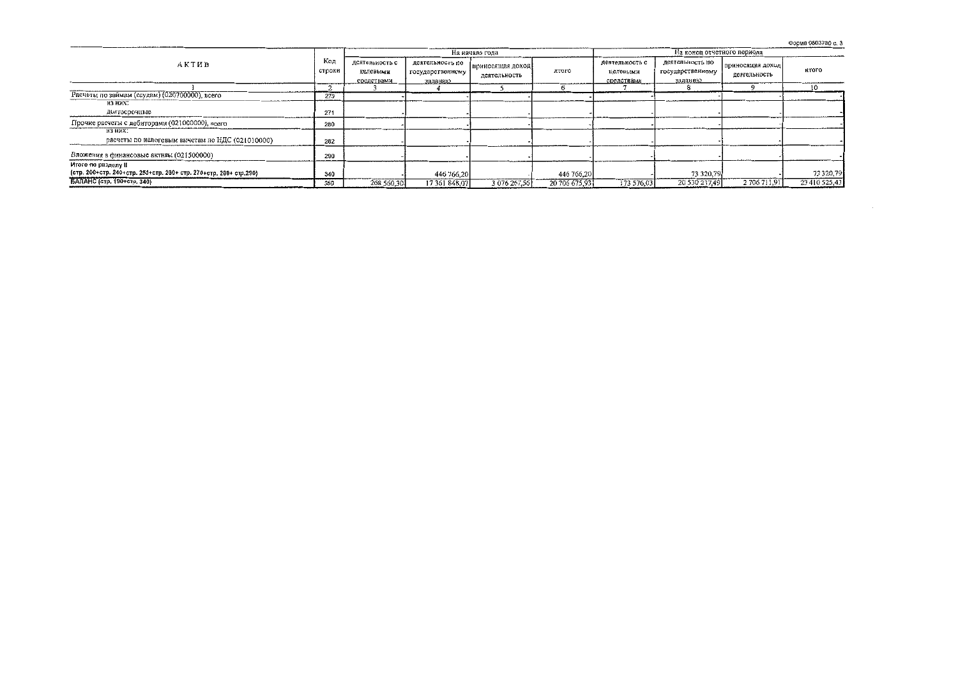Форма 0503730 с. 3

|                                                                    |               |                                          |                                                | На начало года                   |               | На конец отчетного периода               |                                                |                                  |               |  |
|--------------------------------------------------------------------|---------------|------------------------------------------|------------------------------------------------|----------------------------------|---------------|------------------------------------------|------------------------------------------------|----------------------------------|---------------|--|
| АКТИВ                                                              | Код<br>строки | деятельность с<br>целевыми<br>средствами | деятельность по<br>государственному<br>заданию | приносящая доход<br>деятельность | итого         | деятельность с<br>целевыми<br>средствами | деятельность по<br>государственному<br>заданию | приносящая доход<br>деятельность | <b>HTOTO</b>  |  |
|                                                                    |               |                                          |                                                |                                  |               |                                          |                                                |                                  | 10            |  |
| Расчеты по займам (ссудам) (020700000), всего                      | 270           |                                          |                                                |                                  |               |                                          |                                                |                                  |               |  |
| из них:                                                            |               |                                          |                                                |                                  |               |                                          |                                                |                                  |               |  |
| долгосрочные                                                       | 271           |                                          |                                                |                                  |               |                                          |                                                |                                  |               |  |
| Прочие расчеты с дебиторами (021000000), всего                     | 280           |                                          |                                                |                                  |               |                                          |                                                |                                  |               |  |
| из них:<br>расчеты по налоговым вычетам по НДС (021010000)         | 282           |                                          |                                                |                                  |               |                                          |                                                |                                  |               |  |
| Вложения в финансовые активы (021500000)                           | 290           |                                          |                                                |                                  |               |                                          |                                                |                                  |               |  |
| Итого по разделу II                                                |               |                                          |                                                |                                  |               |                                          |                                                |                                  |               |  |
| (стр. 200+стр. 240+стр. 250+стр. 260+ стр. 270+стр. 280+ стр. 290) | 340           |                                          | 446 766,20                                     |                                  | 446 766.20    |                                          | 73 320,79                                      |                                  | 73 320,79     |  |
| БАЛАНС (стр. 190+стр. 340)                                         | 350           | 268 560 30                               | 17 361 848,07                                  | 3 076 267.56                     | 20 706 675,93 | 173 576.03                               | 20 530 237,49                                  | 2 706 711,91                     | 23 410 525.43 |  |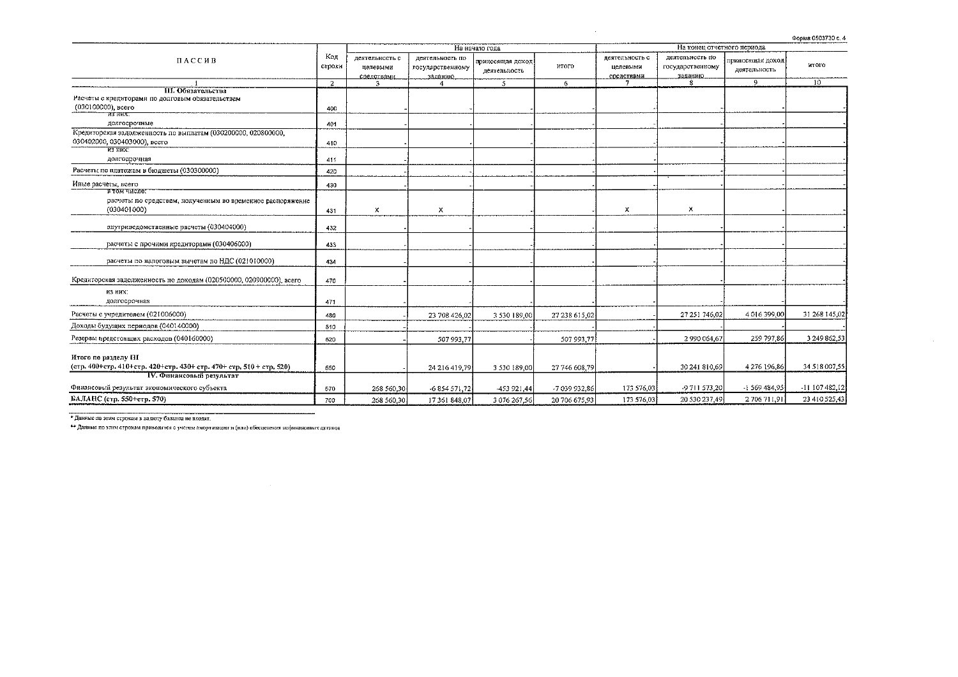| Форма 0503730 с. 4 |  |
|--------------------|--|

|                                                                                                                          |                |                                          |                                                |                                  |               |                                          |                                                |                                  | ------------------ |  |
|--------------------------------------------------------------------------------------------------------------------------|----------------|------------------------------------------|------------------------------------------------|----------------------------------|---------------|------------------------------------------|------------------------------------------------|----------------------------------|--------------------|--|
|                                                                                                                          |                |                                          |                                                | На начало года                   |               |                                          | На конец отчетного периода                     |                                  |                    |  |
| ПАССИВ                                                                                                                   | Код<br>строки  | деятельность с<br>целевыми<br>средствами | деятельность по<br>государственному<br>заданию | приносящая доход<br>деятельность | <b>HTOFO</b>  | деятельность с<br>целевыми<br>средствами | деятельность по<br>государственному<br>заданию | триносящая доход<br>деятельность | итого              |  |
|                                                                                                                          | $\overline{2}$ |                                          |                                                | -5.                              | 6             |                                          |                                                | 9                                | 10                 |  |
| III. Обязательства<br>Расчеты с кредиторами по долговым обязательствам<br>(030100000), всего<br><b>B3 HBX.</b>           | 400            |                                          |                                                |                                  |               |                                          |                                                |                                  |                    |  |
| долгосрочные                                                                                                             | 401            |                                          |                                                |                                  |               |                                          |                                                |                                  |                    |  |
| Кредиторская задолженность по выплатам (030200000, 020800000,<br>030402000, 030403000), всего<br>H3HHX                   | 410            |                                          |                                                |                                  |               |                                          |                                                |                                  |                    |  |
| долгосрочная                                                                                                             | 411            |                                          |                                                |                                  |               |                                          |                                                |                                  |                    |  |
| Расчеты по платежам в бюджеты (030300000)                                                                                | 420            |                                          |                                                |                                  |               |                                          |                                                |                                  |                    |  |
| Иные расчеты, всего                                                                                                      | 430            |                                          |                                                |                                  |               |                                          |                                                |                                  |                    |  |
| в том числе:<br>расчеты по средствам, полученным во временное распоряжение<br>(030401000)                                | 431            | х                                        | х                                              |                                  |               | х                                        | $\times$                                       |                                  |                    |  |
| внутриведомственные расчеты (030404000)                                                                                  | 432            |                                          |                                                |                                  |               |                                          |                                                |                                  |                    |  |
| расчеты с прочими кредиторами (030406000)                                                                                | 433            |                                          |                                                |                                  |               |                                          |                                                |                                  |                    |  |
| расчеты по налоговым вычетам по НДС (021010000)                                                                          | 434            |                                          |                                                |                                  |               |                                          |                                                |                                  |                    |  |
| Кредиторская задолженность по доходам (020500000, 020900000), асего                                                      | 470            |                                          |                                                |                                  |               |                                          |                                                |                                  |                    |  |
| <b>H3 HHX:</b><br>долгосрочная                                                                                           | 471            |                                          |                                                |                                  |               |                                          |                                                |                                  |                    |  |
| Расчеты с учредителем (021006000)                                                                                        | 480            |                                          | 23 708 426,02                                  | 3 530 189,00                     | 27 238 615 02 |                                          | 27 251 746,02                                  | 4016399.00                       | 31 268 145,02      |  |
| Доходы будущих периодов (040140000)                                                                                      | 510            |                                          |                                                |                                  |               |                                          |                                                |                                  |                    |  |
| Резервы предстоящих расходов (040160000)                                                                                 | 520            |                                          | 507 993,77                                     |                                  | 507 993 77    |                                          | 2 990 064,67                                   | 259 797.86                       | 3 249 862.53       |  |
| Итого по разделу III<br>(стр. 400+стр. 410+стр. 420+стр. 430+ стр. 470+ стр. 510 + стр. 520)<br>IV. Финансовый результат | 550            |                                          | 24 216 419,79                                  | 3 530 189,00                     | 27 746 608 79 |                                          | 30 241 810,69                                  | 4 276 196,86                     | 34 518 007,55      |  |
| Финансовый результат экономического субъекта                                                                             | 570            | 268 560 30                               | $-6854571,72$                                  | -453 921,44                      | -7 039 932,86 | 173 576,03                               | -9 711 573 20                                  | -1 569 484,95                    | -11 107 482,12     |  |
| БАЛАНС (стр. 550+стр. 570)                                                                                               | 700            | 268 560 30                               | 17 361 848.07                                  | 3 076 267 56                     | 20 706 675.93 | 173 576,03                               | 20 530 237 49                                  | 2 706 711,91                     | 23 410 525,43      |  |

the control of the control of the control

\* Данные по этим строкам в валюту баланса не входят.

\*\* Данные по этим строкам приводятся с учетом амортизации и (или) обесценения нефинансовых активов

 $\label{eq:2.1} \frac{1}{2} \sum_{i=1}^n \frac{1}{2} \sum_{j=1}^n \frac{1}{2} \sum_{j=1}^n \frac{1}{2} \sum_{j=1}^n \frac{1}{2} \sum_{j=1}^n \frac{1}{2} \sum_{j=1}^n \frac{1}{2} \sum_{j=1}^n \frac{1}{2} \sum_{j=1}^n \frac{1}{2} \sum_{j=1}^n \frac{1}{2} \sum_{j=1}^n \frac{1}{2} \sum_{j=1}^n \frac{1}{2} \sum_{j=1}^n \frac{1}{2} \sum_{j=1}^n \frac{$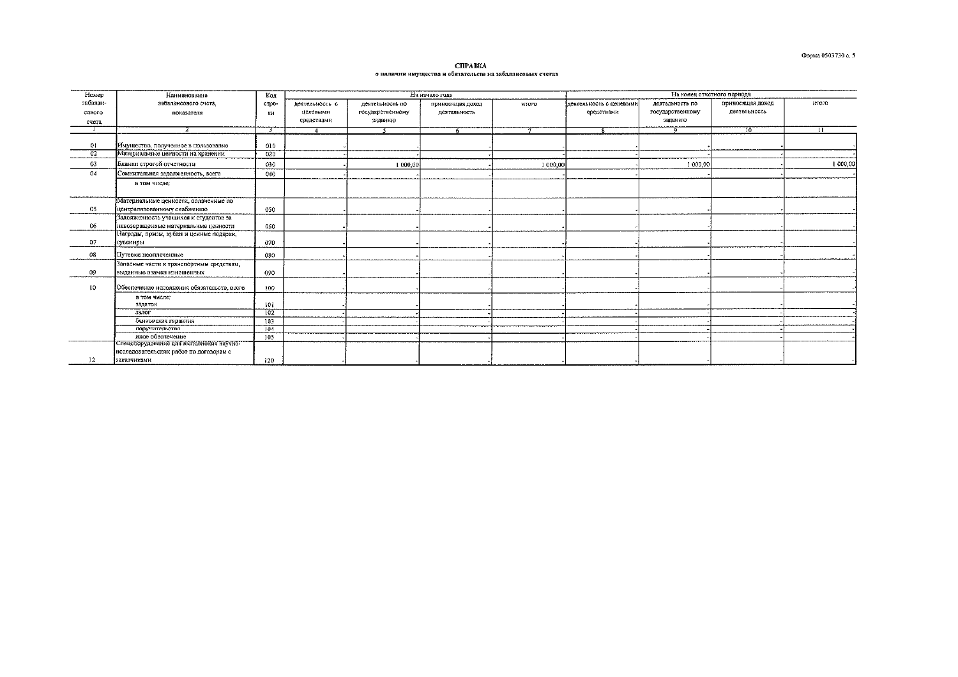СПРАВКА о инличин имущества и обязательств на забалансовых счетах

| Номер    | Наименование                                                | Код   |                |                  | На начало года   |              | На конец отчетного периода                                               |                  |              |                 |  |
|----------|-------------------------------------------------------------|-------|----------------|------------------|------------------|--------------|--------------------------------------------------------------------------|------------------|--------------|-----------------|--|
| забалан- | забалансового счета.                                        | crpo- | деятельность с | деятельность по  | приносящая доход | <b>HTOM</b>  | итого<br>јдеятельность с целевыми<br>леятельность по<br>приносящая доход |                  |              |                 |  |
| сового   | показателя                                                  | ки    | целевыми       | государственному | деятельность     |              | средствами                                                               | государственному | деятельность |                 |  |
| счета    |                                                             |       | средствами     | заданию          |                  |              |                                                                          | заданию          |              |                 |  |
|          |                                                             | Т     | $\overline{A}$ |                  |                  | $\mathbf{r}$ |                                                                          | $\overline{q}$   | 76           | $\overline{11}$ |  |
|          |                                                             |       |                |                  |                  |              |                                                                          |                  |              |                 |  |
| 01       | Имущество, полученное в пользование                         | 010   |                |                  |                  |              |                                                                          |                  |              |                 |  |
| 02       | Материальные ценности на хранении                           | 020   |                |                  |                  |              |                                                                          |                  |              |                 |  |
| 03       | Бланки строгой отчетности                                   | 030   |                | 1 000,00         |                  | 1 000,00     |                                                                          | 1 000,00         |              | 1,000,00        |  |
| 04       | Сомнительная задолженность, всего                           | 040   |                |                  |                  |              |                                                                          |                  |              |                 |  |
|          | в том числе:                                                |       |                |                  |                  |              |                                                                          |                  |              |                 |  |
|          |                                                             |       |                |                  |                  |              |                                                                          |                  |              |                 |  |
|          | Материальные ценности, оплаченные по                        |       |                |                  |                  |              |                                                                          |                  |              |                 |  |
| 05       | централизованному снабжению                                 | 050   |                |                  |                  |              |                                                                          |                  |              |                 |  |
|          | Задолженность учащихся и студентов за                       |       |                |                  |                  |              |                                                                          |                  |              |                 |  |
| 06       | невозвращенные материальные ценности                        | 050   |                |                  |                  |              |                                                                          |                  |              |                 |  |
|          | Награды, призы, кубки и ценные подарки,                     |       |                |                  |                  |              |                                                                          |                  |              |                 |  |
| 07       | сувениры                                                    | 070   |                |                  |                  |              |                                                                          |                  |              |                 |  |
| 08       | Путевки неоплаченные                                        | 080   |                |                  |                  |              |                                                                          |                  |              |                 |  |
|          | Запасные части к транспортным средствам,                    |       |                |                  |                  |              |                                                                          |                  |              |                 |  |
| 09       | выданные взамен изношенных                                  | 090   |                |                  |                  |              |                                                                          |                  |              |                 |  |
|          |                                                             |       |                |                  |                  |              |                                                                          |                  |              |                 |  |
| 10       | Обеспечение исполнения обязательств, всего                  | 100   |                |                  |                  |              |                                                                          |                  |              |                 |  |
|          | в том числе;                                                |       |                |                  |                  |              |                                                                          |                  |              |                 |  |
|          | задаток                                                     | 101   |                |                  |                  |              |                                                                          |                  |              |                 |  |
|          | залог                                                       | 102   |                |                  |                  |              |                                                                          |                  |              |                 |  |
|          | банковская гарантня                                         | 103   |                |                  |                  |              |                                                                          |                  |              |                 |  |
|          | поручительство                                              | 104   |                |                  |                  |              |                                                                          |                  |              |                 |  |
|          | иное обеспечение<br>Спецоборудование для выполнения научно- | 105   |                |                  |                  |              |                                                                          |                  |              |                 |  |
|          | исследовательских работ по договорам с                      |       |                |                  |                  |              |                                                                          |                  |              |                 |  |
| 12       | заказчнками                                                 | 120   |                |                  |                  |              |                                                                          |                  |              |                 |  |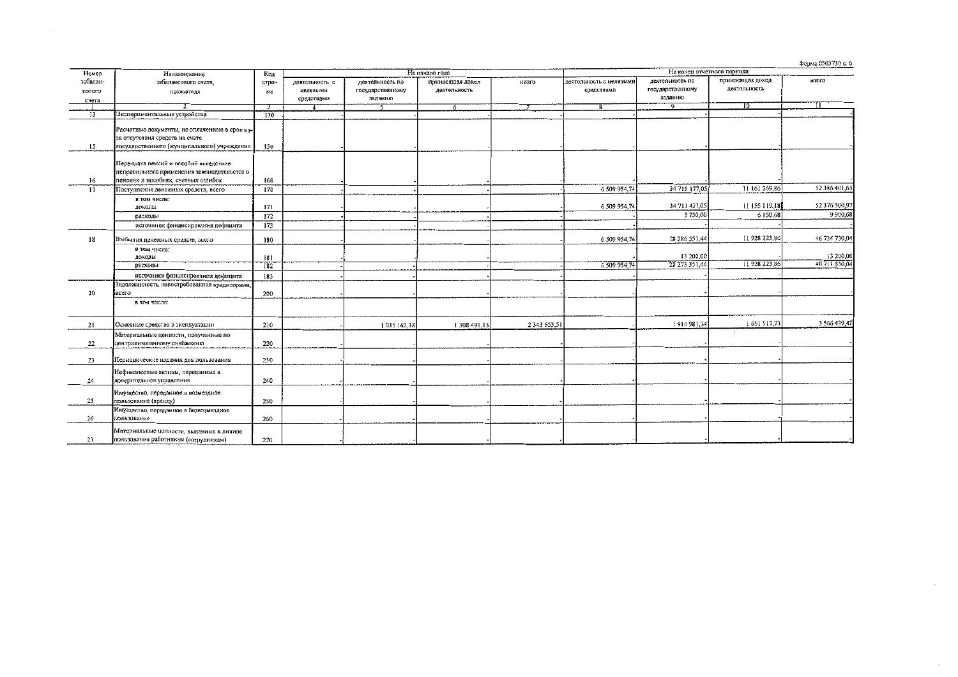Форма 0503730 с. 6

 $\sim$ 

| Номер    | Наименование                                  | Код        |                        |                  | На начало года   |              |                         |                  |                  |               |
|----------|-----------------------------------------------|------------|------------------------|------------------|------------------|--------------|-------------------------|------------------|------------------|---------------|
| забалан- | забалансового счета.                          | стро-      | деятельность с         | деятельность по  | приносящая доход | итого        | деятельность с целевыми | деятельность по  | приносящая доход | итого         |
|          |                                               |            | целевыми               | государственному | деятельность     |              | средствами              | государственному | деятельность     |               |
| сового   | показателя                                    | KH         |                        | заданию          |                  |              |                         | заданию          |                  |               |
| счета    | z                                             |            | средствами             |                  |                  |              | $\overline{\mathbf{g}}$ | ত                | 70               |               |
|          |                                               | 3          | $\boldsymbol{\Lambda}$ |                  | 6                |              |                         |                  |                  |               |
| 13       | Экспериментальные устройства                  | 130        |                        |                  |                  |              |                         |                  |                  |               |
|          | Расчетные документы, не оплаченные в срок из- |            |                        |                  |                  |              |                         |                  |                  |               |
|          | за отсутствия средств на счете                |            |                        |                  |                  |              |                         |                  |                  |               |
|          |                                               |            |                        |                  |                  |              |                         |                  |                  |               |
| 15       | тосударственного (мунципального) учреждения   | 150        |                        |                  |                  |              |                         |                  |                  |               |
|          |                                               |            |                        |                  |                  |              |                         |                  |                  |               |
|          | Переплата пенсий и пособий вследствие         |            |                        |                  |                  |              |                         |                  |                  |               |
|          | неправильного применения законодательства о   |            |                        |                  |                  |              |                         |                  |                  |               |
| 16       | пенсиях и пособиях, счетных ошибок            | 160        |                        |                  |                  |              |                         |                  |                  |               |
| 17       | Поступления денежных средств, всего           | 170        |                        |                  |                  |              | 6 509 954,74            | 34 715 177,05    | 11 161 269,86    | 52 386 401,65 |
|          | в том числе:                                  |            |                        |                  |                  |              |                         |                  |                  |               |
|          | доходы                                        | 171        |                        |                  |                  |              | 6 509 954 74            | 34 711 427,05    | 11 155 119,18    | 52 376 500,97 |
|          | расходы                                       | 172        |                        |                  |                  |              |                         | 3 750,00         | 6150,68          | 9900,68       |
|          | источники финансирования дефицита             | 173        |                        |                  |                  |              |                         |                  |                  |               |
|          |                                               |            |                        |                  |                  |              |                         |                  |                  |               |
| 18       | Выбытия денежных средств, всего               | 180        |                        |                  |                  |              | 6 509 954 74            | 28 286 551 44    | 11928 223,86     | 46 724 730,04 |
|          |                                               |            |                        |                  |                  |              |                         |                  |                  |               |
|          | в том числе:                                  |            |                        |                  |                  |              |                         | 13 200,00        |                  | 13 200,00     |
|          | доходы                                        | 181<br>182 |                        |                  |                  |              | 6 509 954,74            | 28 273 351,44    | 11 928 223,86    | 46 711 530,04 |
|          | расходы                                       |            |                        |                  |                  |              |                         |                  |                  |               |
|          | источники финансирования дефицита             | 183        |                        |                  |                  |              |                         |                  |                  |               |
|          | Задолженность, невостребованная кредиторами,  |            |                        |                  |                  |              |                         |                  |                  |               |
| 20       | ecero                                         | 200        |                        |                  |                  |              |                         |                  |                  |               |
|          | в том числе:                                  |            |                        |                  |                  |              |                         |                  |                  |               |
|          |                                               |            |                        |                  |                  |              |                         |                  |                  |               |
|          |                                               |            |                        |                  |                  |              |                         |                  | 1 651 517,73     | 3 566 499,47  |
| 21       | Основные средства в эксплуатации              | 210        |                        | 1035162,38       | 1308491,13       | 2 343 653,51 |                         | 1914981.74       |                  |               |
|          | Материальные ценности, полученные по          |            |                        |                  |                  |              |                         |                  |                  |               |
| 22       | централизованному снабженню                   | 220        |                        |                  |                  |              |                         |                  |                  |               |
|          |                                               |            |                        |                  |                  |              |                         |                  |                  |               |
| 23       | Периодические издания для пользования         | 230        |                        |                  |                  |              |                         |                  |                  |               |
|          |                                               |            |                        |                  |                  |              |                         |                  |                  |               |
|          | Нефинансовые активы, переданные в             |            |                        |                  |                  |              |                         |                  |                  |               |
| 24       | доверительное управление                      | 240        |                        |                  |                  |              |                         |                  |                  |               |
|          | Имущество, переданное в возмездное            |            |                        |                  |                  |              |                         |                  |                  |               |
| 25       | пользование (аренду)                          | 250        |                        |                  |                  |              |                         |                  |                  |               |
|          | Имущество, переданное в безвозмездное         |            |                        |                  |                  |              |                         |                  |                  |               |
| 26       | пользование                                   | 260        |                        |                  |                  |              |                         |                  |                  |               |
|          |                                               |            |                        |                  |                  |              |                         |                  |                  |               |
|          | Материальные ценности, выданные в личное      |            |                        |                  |                  |              |                         |                  |                  |               |
| 27       | пользование работникам (сотрудникам)          | 270        |                        |                  |                  |              |                         |                  |                  |               |